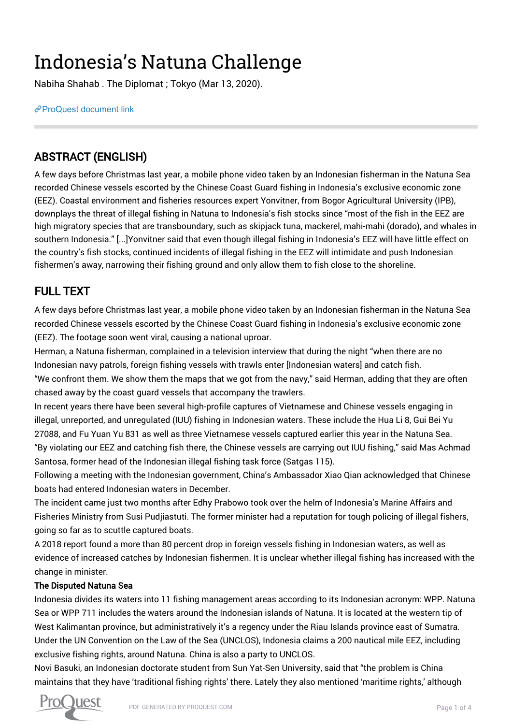# Indonesia's Natuna Challenge

Nabiha Shahab . The Diplomat ; Tokyo (Mar 13, 2020).

[ProQuest document link](http://132.174.250.227/magazines/indonesia-s-natuna-challenge/docview/2376664681/se-2?accountid=8394)

## ABSTRACT (ENGLISH)

A few days before Christmas last year, a mobile phone video taken by an Indonesian fisherman in the Natuna Sea recorded Chinese vessels escorted by the Chinese Coast Guard fishing in Indonesia's exclusive economic zone (EEZ). Coastal environment and fisheries resources expert Yonvitner, from Bogor Agricultural University (IPB), downplays the threat of illegal fishing in Natuna to Indonesia's fish stocks since "most of the fish in the EEZ are high migratory species that are transboundary, such as skipjack tuna, mackerel, mahi-mahi (dorado), and whales in southern Indonesia." [...]Yonvitner said that even though illegal fishing in Indonesia's EEZ will have little effect on the country's fish stocks, continued incidents of illegal fishing in the EEZ will intimidate and push Indonesian fishermen's away, narrowing their fishing ground and only allow them to fish close to the shoreline.

## FULL TEXT

A few days before Christmas last year, a mobile phone video taken by an Indonesian fisherman in the Natuna Sea recorded Chinese vessels escorted by the Chinese Coast Guard fishing in Indonesia's exclusive economic zone (EEZ). The footage soon went viral, causing a national uproar.

Herman, a Natuna fisherman, complained in a television interview that during the night "when there are no Indonesian navy patrols, foreign fishing vessels with trawls enter [Indonesian waters] and catch fish.

"We confront them. We show them the maps that we got from the navy," said Herman, adding that they are often chased away by the coast guard vessels that accompany the trawlers.

In recent years there have been several high-profile captures of Vietnamese and Chinese vessels engaging in illegal, unreported, and unregulated (IUU) fishing in Indonesian waters. These include the Hua Li 8, Gui Bei Yu 27088, and Fu Yuan Yu 831 as well as three Vietnamese vessels captured earlier this year in the Natuna Sea. "By violating our EEZ and catching fish there, the Chinese vessels are carrying out IUU fishing," said Mas Achmad Santosa, former head of the Indonesian illegal fishing task force (Satgas 115).

Following a meeting with the Indonesian government, China's Ambassador Xiao Qian acknowledged that Chinese boats had entered Indonesian waters in December.

The incident came just two months after Edhy Prabowo took over the helm of Indonesia's Marine Affairs and Fisheries Ministry from Susi Pudjiastuti. The former minister had a reputation for tough policing of illegal fishers, going so far as to scuttle captured boats.

A 2018 report found a more than 80 percent drop in foreign vessels fishing in Indonesian waters, as well as evidence of increased catches by Indonesian fishermen. It is unclear whether illegal fishing has increased with the change in minister.

### The Disputed Natuna Sea

Indonesia divides its waters into 11 fishing management areas according to its Indonesian acronym: WPP. Natuna Sea or WPP 711 includes the waters around the Indonesian islands of Natuna. It is located at the western tip of West Kalimantan province, but administratively it's a regency under the Riau Islands province east of Sumatra. Under the UN Convention on the Law of the Sea (UNCLOS), Indonesia claims a 200 nautical mile EEZ, including exclusive fishing rights, around Natuna. China is also a party to UNCLOS.

Novi Basuki, an Indonesian doctorate student from Sun Yat-Sen University, said that "the problem is China maintains that they have 'traditional fishing rights' there. Lately they also mentioned 'maritime rights,' although

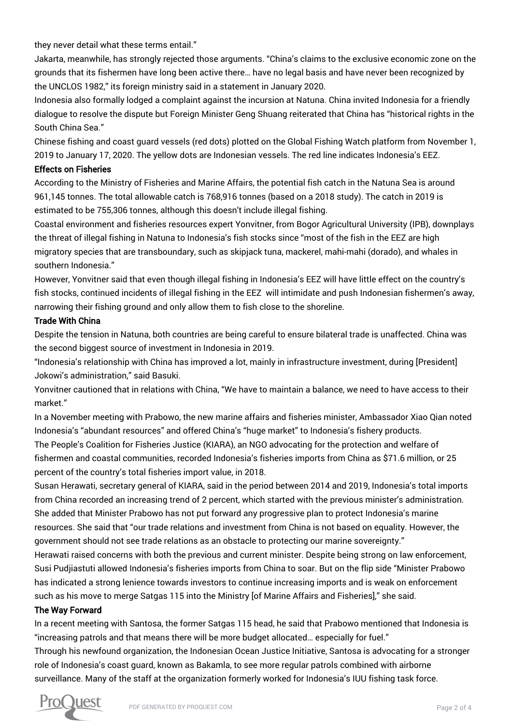they never detail what these terms entail."

Jakarta, meanwhile, has strongly rejected those arguments. "China's claims to the exclusive economic zone on the grounds that its fishermen have long been active there… have no legal basis and have never been recognized by the UNCLOS 1982," its foreign ministry said in a statement in January 2020.

Indonesia also formally lodged a complaint against the incursion at Natuna. China invited Indonesia for a friendly dialogue to resolve the dispute but Foreign Minister Geng Shuang reiterated that China has "historical rights in the South China Sea."

Chinese fishing and coast guard vessels (red dots) plotted on the Global Fishing Watch platform from November 1, 2019 to January 17, 2020. The yellow dots are Indonesian vessels. The red line indicates Indonesia's EEZ.

#### Effects on Fisheries

According to the Ministry of Fisheries and Marine Affairs, the potential fish catch in the Natuna Sea is around 961,145 tonnes. The total allowable catch is 768,916 tonnes (based on a 2018 study). The catch in 2019 is estimated to be 755,306 tonnes, although this doesn't include illegal fishing.

Coastal environment and fisheries resources expert Yonvitner, from Bogor Agricultural University (IPB), downplays the threat of illegal fishing in Natuna to Indonesia's fish stocks since "most of the fish in the EEZ are high migratory species that are transboundary, such as skipjack tuna, mackerel, mahi-mahi (dorado), and whales in southern Indonesia."

However, Yonvitner said that even though illegal fishing in Indonesia's EEZ will have little effect on the country's fish stocks, continued incidents of illegal fishing in the EEZ will intimidate and push Indonesian fishermen's away, narrowing their fishing ground and only allow them to fish close to the shoreline.

#### Trade With China

Despite the tension in Natuna, both countries are being careful to ensure bilateral trade is unaffected. China was the second biggest source of investment in Indonesia in 2019.

"Indonesia's relationship with China has improved a lot, mainly in infrastructure investment, during [President] Jokowi's administration," said Basuki.

Yonvitner cautioned that in relations with China, "We have to maintain a balance, we need to have access to their market."

In a November meeting with Prabowo, the new marine affairs and fisheries minister, Ambassador Xiao Qian noted Indonesia's "abundant resources" and offered China's "huge market" to Indonesia's fishery products.

The People's Coalition for Fisheries Justice (KIARA), an NGO advocating for the protection and welfare of fishermen and coastal communities, recorded Indonesia's fisheries imports from China as \$71.6 million, or 25 percent of the country's total fisheries import value, in 2018.

Susan Herawati, secretary general of KIARA, said in the period between 2014 and 2019, Indonesia's total imports from China recorded an increasing trend of 2 percent, which started with the previous minister's administration. She added that Minister Prabowo has not put forward any progressive plan to protect Indonesia's marine resources. She said that "our trade relations and investment from China is not based on equality. However, the government should not see trade relations as an obstacle to protecting our marine sovereignty."

Herawati raised concerns with both the previous and current minister. Despite being strong on law enforcement, Susi Pudjiastuti allowed Indonesia's fisheries imports from China to soar. But on the flip side "Minister Prabowo has indicated a strong lenience towards investors to continue increasing imports and is weak on enforcement such as his move to merge Satgas 115 into the Ministry [of Marine Affairs and Fisheries]," she said.

#### The Way Forward

In a recent meeting with Santosa, the former Satgas 115 head, he said that Prabowo mentioned that Indonesia is "increasing patrols and that means there will be more budget allocated… especially for fuel."

Through his newfound organization, the Indonesian Ocean Justice Initiative, Santosa is advocating for a stronger role of Indonesia's coast guard, known as Bakamla, to see more regular patrols combined with airborne surveillance. Many of the staff at the organization formerly worked for Indonesia's IUU fishing task force.

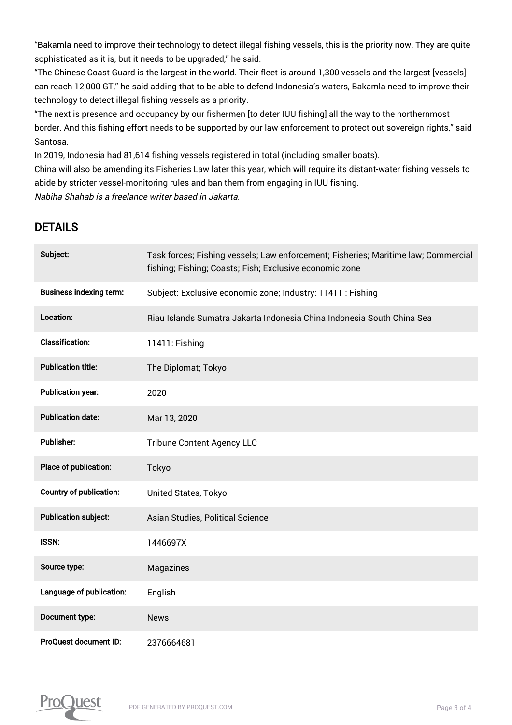"Bakamla need to improve their technology to detect illegal fishing vessels, this is the priority now. They are quite sophisticated as it is, but it needs to be upgraded," he said.

"The Chinese Coast Guard is the largest in the world. Their fleet is around 1,300 vessels and the largest [vessels] can reach 12,000 GT," he said adding that to be able to defend Indonesia's waters, Bakamla need to improve their technology to detect illegal fishing vessels as a priority.

"The next is presence and occupancy by our fishermen [to deter IUU fishing] all the way to the northernmost border. And this fishing effort needs to be supported by our law enforcement to protect out sovereign rights," said Santosa.

In 2019, Indonesia had 81,614 fishing vessels registered in total (including smaller boats).

China will also be amending its Fisheries Law later this year, which will require its distant-water fishing vessels to abide by stricter vessel-monitoring rules and ban them from engaging in IUU fishing.

Nabiha Shahab is a freelance writer based in Jakarta.

## DETAILS

| Subject:                       | Task forces; Fishing vessels; Law enforcement; Fisheries; Maritime law; Commercial<br>fishing; Fishing; Coasts; Fish; Exclusive economic zone |
|--------------------------------|-----------------------------------------------------------------------------------------------------------------------------------------------|
| <b>Business indexing term:</b> | Subject: Exclusive economic zone; Industry: 11411 : Fishing                                                                                   |
| Location:                      | Riau Islands Sumatra Jakarta Indonesia China Indonesia South China Sea                                                                        |
| <b>Classification:</b>         | 11411: Fishing                                                                                                                                |
| <b>Publication title:</b>      | The Diplomat; Tokyo                                                                                                                           |
| <b>Publication year:</b>       | 2020                                                                                                                                          |
| <b>Publication date:</b>       | Mar 13, 2020                                                                                                                                  |
| <b>Publisher:</b>              | <b>Tribune Content Agency LLC</b>                                                                                                             |
| Place of publication:          | Tokyo                                                                                                                                         |
| <b>Country of publication:</b> | United States, Tokyo                                                                                                                          |
| <b>Publication subject:</b>    | Asian Studies, Political Science                                                                                                              |
| <b>ISSN:</b>                   | 1446697X                                                                                                                                      |
| Source type:                   | Magazines                                                                                                                                     |
| Language of publication:       | English                                                                                                                                       |
| Document type:                 | <b>News</b>                                                                                                                                   |
| ProQuest document ID:          | 2376664681                                                                                                                                    |